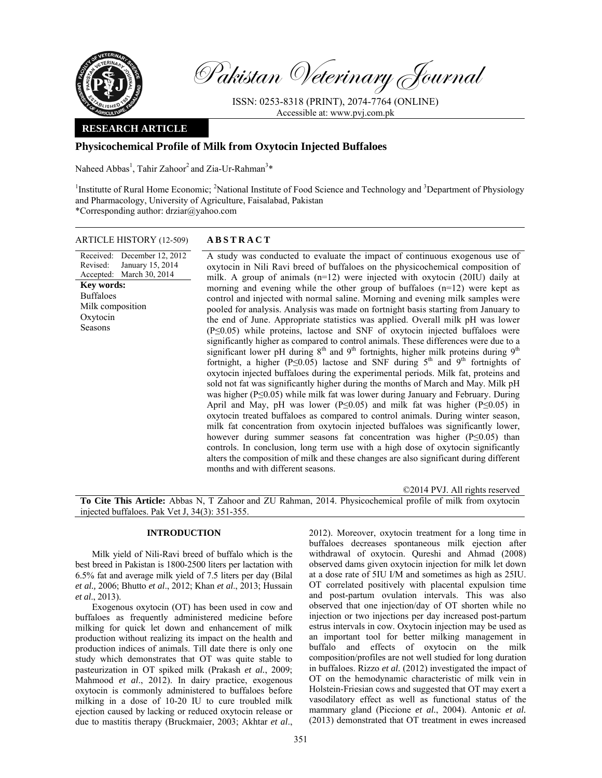

Pakistan Veterinary Journal

ISSN: 0253-8318 (PRINT), 2074-7764 (ONLINE) Accessible at: www.pvj.com.pk

# **RESEARCH ARTICLE**

# **Physicochemical Profile of Milk from Oxytocin Injected Buffaloes**

Naheed Abbas<sup>1</sup>, Tahir Zahoor<sup>2</sup> and Zia-Ur-Rahman<sup>3\*</sup>

<sup>1</sup>Institutte of Rural Home Economic; <sup>2</sup>National Institute of Food Science and Technology and <sup>3</sup>Department of Physiology and Pharmacology, University of Agriculture, Faisalabad, Pakistan \*Corresponding author: drziar@yahoo.com

## ARTICLE HISTORY (12-509) **ABSTRACT**

Received: December 12, 2012 Revised: Accepted: March 30, 2014 January 15, 2014 **Key words:**  Buffaloes Milk composition Oxytocin Seasons

 A study was conducted to evaluate the impact of continuous exogenous use of oxytocin in Nili Ravi breed of buffaloes on the physicochemical composition of milk. A group of animals  $(n=12)$  were injected with oxytocin (20IU) daily at morning and evening while the other group of buffaloes (n=12) were kept as control and injected with normal saline. Morning and evening milk samples were pooled for analysis. Analysis was made on fortnight basis starting from January to the end of June. Appropriate statistics was applied. Overall milk pH was lower (P≤0.05) while proteins, lactose and SNF of oxytocin injected buffaloes were significantly higher as compared to control animals. These differences were due to a significant lower pH during  $8<sup>th</sup>$  and  $9<sup>th</sup>$  fortnights, higher milk proteins during  $9<sup>th</sup>$ fortnight, a higher (P≤0.05) lactose and SNF during  $5<sup>th</sup>$  and  $9<sup>th</sup>$  fortnights of oxytocin injected buffaloes during the experimental periods. Milk fat, proteins and sold not fat was significantly higher during the months of March and May. Milk pH was higher (P≤0.05) while milk fat was lower during January and February. During April and May, pH was lower (P≤0.05) and milk fat was higher (P≤0.05) in oxytocin treated buffaloes as compared to control animals. During winter season, milk fat concentration from oxytocin injected buffaloes was significantly lower, however during summer seasons fat concentration was higher (P≤0.05) than controls. In conclusion, long term use with a high dose of oxytocin significantly alters the composition of milk and these changes are also significant during different months and with different seasons.

©2014 PVJ. All rights reserved

**To Cite This Article:** Abbas N, T Zahoor and ZU Rahman, 2014. Physicochemical profile of milk from oxytocin injected buffaloes. Pak Vet J, 34(3): 351-355.

# **INTRODUCTION**

Milk yield of Nili-Ravi breed of buffalo which is the best breed in Pakistan is 1800-2500 liters per lactation with 6.5% fat and average milk yield of 7.5 liters per day (Bilal *et al.,* 2006; Bhutto *et al*., 2012; Khan *et al*., 2013; Hussain *et al*., 2013).

Exogenous oxytocin (OT) has been used in cow and buffaloes as frequently administered medicine before milking for quick let down and enhancement of milk production without realizing its impact on the health and production indices of animals. Till date there is only one study which demonstrates that OT was quite stable to pasteurization in OT spiked milk (Prakash *et al.*, 2009; Mahmood *et al*., 2012). In dairy practice, exogenous oxytocin is commonly administered to buffaloes before milking in a dose of 10-20 IU to cure troubled milk ejection caused by lacking or reduced oxytocin release or due to mastitis therapy (Bruckmaier, 2003; Akhtar *et al*.,

2012). Moreover, oxytocin treatment for a long time in buffaloes decreases spontaneous milk ejection after withdrawal of oxytocin. Qureshi and Ahmad (2008) observed dams given oxytocin injection for milk let down at a dose rate of 5IU I/M and sometimes as high as 25IU. OT correlated positively with placental expulsion time and post-partum ovulation intervals. This was also observed that one injection/day of OT shorten while no injection or two injections per day increased post-partum estrus intervals in cow. Oxytocin injection may be used as an important tool for better milking management in buffalo and effects of oxytocin on the milk composition/profiles are not well studied for long duration in buffaloes. Rizzo *et al.* (2012) investigated the impact of OT on the hemodynamic characteristic of milk vein in Holstein-Friesian cows and suggested that OT may exert a vasodilatory effect as well as functional status of the mammary gland (Piccione *et al.*, 2004). Antonic *et al.* (2013) demonstrated that OT treatment in ewes increased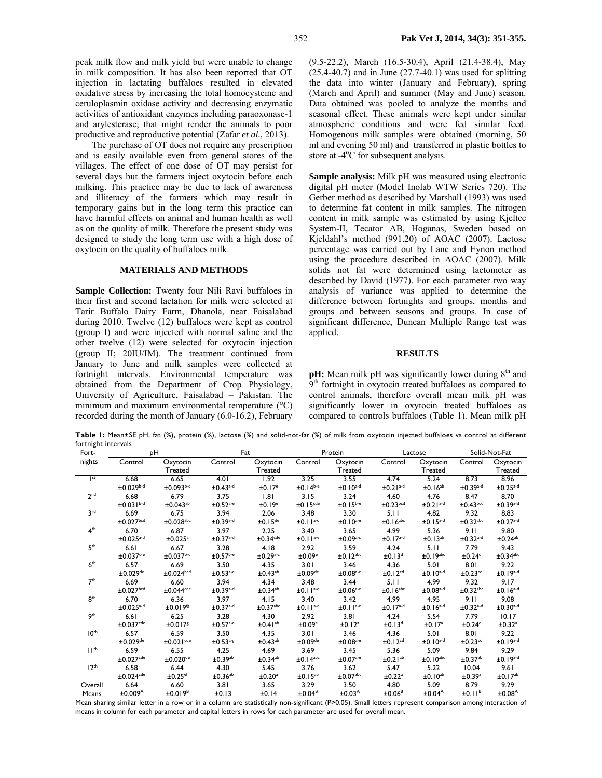peak milk flow and milk yield but were unable to change in milk composition. It has also been reported that OT injection in lactating buffaloes resulted in elevated oxidative stress by increasing the total homocysteine and ceruloplasmin oxidase activity and decreasing enzymatic activities of antioxidant enzymes including paraoxonase-1 and arylesterase; that might render the animals to poor productive and reproductive potential (Zafar *et al.,* 2013).

The purchase of OT does not require any prescription and is easily available even from general stores of the villages. The effect of one dose of OT may persist for several days but the farmers inject oxytocin before each milking. This practice may be due to lack of awareness and illiteracy of the farmers which may result in temporary gains but in the long term this practice can have harmful effects on animal and human health as well as on the quality of milk. Therefore the present study was designed to study the long term use with a high dose of oxytocin on the quality of buffaloes milk.

# **MATERIALS AND METHODS**

**Sample Collection:** Twenty four Nili Ravi buffaloes in their first and second lactation for milk were selected at Tarir Buffalo Dairy Farm, Dhanola, near Faisalabad during 2010. Twelve (12) buffaloes were kept as control (group I) and were injected with normal saline and the other twelve (12) were selected for oxytocin injection (group II; 20IU/IM). The treatment continued from January to June and milk samples were collected at fortnight intervals. Environmental temperature was obtained from the Department of Crop Physiology, University of Agriculture, Faisalabad – Pakistan. The minimum and maximum environmental temperature (°C) recorded during the month of January (6.0-16.2), February

(9.5-22.2), March (16.5-30.4), April (21.4-38.4), May  $(25.4-40.7)$  and in June  $(27.7-40.1)$  was used for splitting the data into winter (January and February), spring (March and April) and summer (May and June) season. Data obtained was pooled to analyze the months and seasonal effect. These animals were kept under similar atmospheric conditions and were fed similar feed. Homogenous milk samples were obtained (morning, 50 ml and evening 50 ml) and transferred in plastic bottles to store at -4<sup>o</sup>C for subsequent analysis.

**Sample analysis:** Milk pH was measured using electronic digital pH meter (Model Inolab WTW Series 720). The Gerber method as described by Marshall (1993) was used to determine fat content in milk samples. The nitrogen content in milk sample was estimated by using Kjeltec System-II, Tecator AB, Hoganas, Sweden based on Kjeldahl's method (991.20) of AOAC (2007). Lactose percentage was carried out by Lane and Eynon method using the procedure described in AOAC (2007). Milk solids not fat were determined using lactometer as described by David (1977). For each parameter two way analysis of variance was applied to determine the difference between fortnights and groups, months and groups and between seasons and groups. In case of significant difference, Duncan Multiple Range test was applied.

### **RESULTS**

**pH:** Mean milk pH was significantly lower during 8<sup>th</sup> and 9<sup>th</sup> fortnight in oxytocin treated buffaloes as compared to control animals, therefore overall mean milk pH was significantly lower in oxytocin treated buffaloes as compared to controls buffaloes (Table 1). Mean milk pH

**Table 1:** Mean±SE pH, fat (%), protein (%), lactose (%) and solid-not-fat (%) of milk from oxytocin injected buffaloes vs control at different fortnight intervals

| Fort-                      | pН                         |                            | Fat                       |                           | Protein                   |                           | Lactose                   |                           | Solid-Not-Fat             |                           |
|----------------------------|----------------------------|----------------------------|---------------------------|---------------------------|---------------------------|---------------------------|---------------------------|---------------------------|---------------------------|---------------------------|
| nights                     | Control                    | Oxytocin                   | Control                   | Oxytocin                  | Control                   | Oxytocin                  | Control                   | Oxytocin                  | Control                   | Oxytocin                  |
|                            |                            | <b>Treated</b>             |                           | Treated                   |                           | <b>Treated</b>            |                           | Treated                   |                           | Treated                   |
| $\mathsf{I}^{\mathsf{st}}$ | 6.68                       | 6.65                       | 4.01                      | 1.92                      | 3.25                      | 3.55                      | 4.74                      | 5.24                      | 8.73                      | 8.96                      |
|                            | $\pm 0.029$ b-d            | $\pm$ 0.093 <sup>b-d</sup> | $\pm$ 0.43 <sup>a-d</sup> | ±0.17 <sup>e</sup>        | $±0.14b-e$                | $±0.10$ <sup>a-d</sup>    | $±0.21$ <sup>a-d</sup>    | ±0.16 <sup>ab</sup>       | $\pm$ 0.39a-d             | $\pm$ 0.25 <sup>a-d</sup> |
| 2 <sub>nd</sub>            | 6.68                       | 6.79                       | 3.75                      | 1.81                      | 3.15                      | 3.24                      | 4.60                      | 4.76                      | 8.47                      | 8.70                      |
|                            | $±0.031b-d$                | $\pm$ 0.043 <sup>ab</sup>  | $\pm$ 0.52 <sup>a-e</sup> | ±0.19 <sup>e</sup>        | ±0.15 <sup>cde</sup>      | $±0.15^{b-e}$             | $\pm$ 0.23bcd             | $±0.21$ <sup>a-d</sup>    | $\pm$ 0.43bcd             | $\pm$ 0.39 <sup>a-d</sup> |
| 3rd                        | 6.69                       | 6.75                       | 3.94                      | 2.06                      | 3.48                      | 3.30                      | 5.11                      | 4.82                      | 9.32                      | 8.83                      |
|                            | $±0.027$ bcd               | $\pm 0.028$ abc            | $±0.39$ <sup>a-d</sup>    | $±0.15$ <sup>de</sup>     | $±0.11a-d$                | $±0.10$ <sup>a-e</sup>    | $±0.16$ <sup>abc</sup>    | $±0.15$ <sup>a-d</sup>    | $\pm$ 0.32abc             | $\pm$ 0.27 <sup>a-d</sup> |
| 4 <sup>th</sup>            | 6.70                       | 6.87                       | 3.97                      | 2.25                      | 3.40                      | 3.65                      | 4.99                      | 5.36                      | 9.11                      | 9.80                      |
|                            | $±0.025$ <sup>a-d</sup>    | $\pm 0.025$ <sup>a</sup>   | $\pm$ 0.37 <sup>a-d</sup> | $\pm 0.34$ <sup>cde</sup> | $±0.11^{a-e}$             | $\pm 0.09^{\mathrm{a-c}}$ | $\pm$ 0.17 <sup>a-d</sup> | ±0.13 <sup>ab</sup>       | $\pm$ 0.32 <sup>a-d</sup> | ±0.24 <sup>ab</sup>       |
| 5 <sup>th</sup>            | 6.61                       | 6.67                       | 3.28                      | 4.18                      | 2.92                      | 3.59                      | 4.24                      | 5.11                      | 7.79                      | 9.43                      |
|                            | $\pm 0.037$ c-e            | $±0.037b-d$                | $\pm$ 0.57 <sup>b-e</sup> | $\pm$ 0.29 <sup>a-c</sup> | ±0.09 <sup>e</sup>        | $±0.12$ <sup>abc</sup>    | $\pm 0.13$ <sup>d</sup>   | $\pm 0.19$ <sup>abc</sup> | ±0.24 <sup>d</sup>        | $\pm 0.34$ abc            |
| 6 <sup>th</sup>            | 6.57                       | 6.69                       | 3.50                      | 4.35                      | 3.01                      | 3.46                      | 4.36                      | 5.01                      | 8.01                      | 9.22                      |
|                            | $\pm 0.029$ <sup>de</sup>  | $\pm 0.024$ <sub>bcd</sub> | $\pm$ 0.53 <sup>a-e</sup> | ±0.43 <sup>ab</sup>       | $\pm 0.09$ <sup>de</sup>  | $±0.08$ <sup>a-e</sup>    | ±0.12 <sup>cd</sup>       | $\pm 0.10^{\mathrm{a-d}}$ | ±0.23 <sup>cd</sup>       | $\pm$ 0.19 <sup>a-d</sup> |
| 7 <sup>th</sup>            | 6.69                       | 6.60                       | 3.94                      | 4.34                      | 3.48                      | 3.44                      | 5.11                      | 4.99                      | 9.32                      | 9.17                      |
|                            | $+0.027$ <sub>bcd</sub>    | ±0.044 <sup>cde</sup>      | $±0.39$ <sup>a-d</sup>    | $\pm$ 0.34 <sup>ab</sup>  | $\pm 0.11$ <sup>a-d</sup> | $\pm 0.06$ <sub>a-e</sub> | $±0.16$ <sup>abc</sup>    | $±0.08$ <sup>a-d</sup>    | $±0.32$ <sup>abc</sup>    | $±0.16a-d$                |
| 8 <sup>th</sup>            | 6.70                       | 6.36                       | 3.97                      | 4.15                      | 3.40                      | 3.42                      | 4.99                      | 4.95                      | 9.11                      | 9.08                      |
|                            | $±0.025$ <sup>a-d</sup>    | $\pm 0.019$ <sup>fg</sup>  | $±0.37$ <sup>a-d</sup>    | $±0.37$ <sup>abc</sup>    | $±0.11a-e$                | $±0.11a-e$                | $±0.17$ <sup>a-d</sup>    | $±0.16$ <sup>a-d</sup>    | $±0.32$ <sup>a-d</sup>    | $±0.30$ a-d               |
| 9 <sup>th</sup>            | 6.61                       | 6.25                       | 3.28                      | 4.30                      | 2.92                      | 3.81                      | 4.24                      | 5.54                      | 7.79                      | 10.17                     |
|                            | $+0.037$ <sup>cde</sup>    | ±0.017 <sup>g</sup>        | $\pm$ 0.57 <sup>a-e</sup> | ±0.41 <sup>ab</sup>       | ±0.09 <sup>e</sup>        | ±0.12 <sup>a</sup>        | $\pm 0.13$ <sup>d</sup>   | ±0.17 <sup>a</sup>        | $\pm 0.24$ <sup>d</sup>   | ±0.32 <sup>a</sup>        |
| 10 <sup>th</sup>           | 6.57                       | 6.59                       | 3.50                      | 4.35                      | 3.01                      | 3.46                      | 4.36                      | 5.01                      | 8.01                      | 9.22                      |
|                            | $\pm 0.029$ de             | $±0.021$ <sup>cde</sup>    | $\pm$ 0.53 <sup>a-g</sup> | ±0.43 <sup>ab</sup>       | $±0.09$ <sup>de</sup>     | $\pm 0.08$ <sub>a-e</sub> | ±0.12 <sup>cd</sup>       | $±0.10a-d$                | ±0.23 <sup>cd</sup>       | $±0.19a-d$                |
| 11 <sup>th</sup>           | 6.59                       | 6.55                       | 4.25                      | 4.69                      | 3.69                      | 3.45                      | 5.36                      | 5.09                      | 9.84                      | 9.29                      |
|                            | $\pm 0.027$ <sup>cde</sup> | $\pm 0.020$ <sup>de</sup>  | $\pm$ 0.39 <sup>ab</sup>  | ±0.34 <sup>ab</sup>       | $\pm 0.14$ <sup>abc</sup> | $\pm 0.07$ <sup>a-e</sup> | ±0.21 <sup>ab</sup>       | $\pm 0.10^{\text{abc}}$   | ±0.37 <sup>ab</sup>       | $±0.19a-d$                |
| 12 <sup>th</sup>           | 6.58                       | 6.44                       | 4.30                      | 5.45                      | 3.76                      | 3.62                      | 5.47                      | 5.22                      | 10.04                     | 9.61                      |
|                            | $±0.024$ <sup>cde</sup>    | $\pm$ 0.25 <sup>ef</sup>   | $±0.36$ <sup>ab</sup>     | ±0.20 <sup>a</sup>        | $±0.15$ <sup>ab</sup>     | $\pm 0.07$ <sup>abc</sup> | ±0.22 <sup>a</sup>        | ±0.10 <sup>ab</sup>       | ±0.39 <sup>a</sup>        | ±0.17 <sup>ab</sup>       |
| Overall                    | 6.64                       | 6.60                       | 3.81                      | 3.65                      | 3.29                      | 3.50                      | 4.80                      | 5.09                      | 8.79                      | 9.29                      |
| <b>Means</b>               | $\pm 0.009$ <sup>A</sup>   | ±0.019 <sup>B</sup>        | ±0.13                     | ±0.14                     | $\pm 0.04^{\text{B}}$     | $\pm 0.03$ <sup>A</sup>   | $\pm 0.06^{\text{B}}$     | ±0.04 <sup>A</sup>        | ±0.11 <sup>B</sup>        | ±0.08 <sup>A</sup>        |

Mean sharing similar letter in a row or in a column are statistically non-significant (P>0.05). Small letters represent comparison among interaction of means in column for each parameter and capital letters in rows for each parameter are used for overall mean.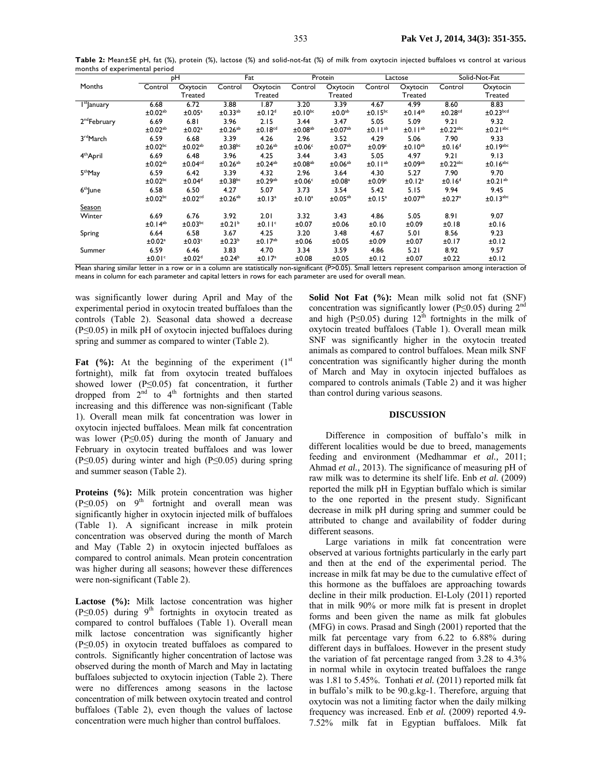|                          | рH                       |                          | Fat                   |                          | Protein                  |                       | Lactose               |                          | Solid-Not-Fat             |                        |
|--------------------------|--------------------------|--------------------------|-----------------------|--------------------------|--------------------------|-----------------------|-----------------------|--------------------------|---------------------------|------------------------|
| Months                   | Control                  | Oxytocin                 | Control               | Oxytocin                 | Control                  | Oxytocin              | Control               | Oxytocin                 | Control                   | Oxytocin               |
|                          |                          | Treated                  |                       | Treated                  |                          | Treated               |                       | Treated                  |                           | Treated                |
| I <sup>st</sup> January  | 6.68                     | 6.72                     | 3.88                  | $\overline{1.87}$        | 3.20                     | 3.39                  | 4.67                  | 4.99                     | 8.60                      | 8.83                   |
|                          | ±0.02 <sup>ab</sup>      | ±0.05 <sup>a</sup>       | ±0.33 <sup>ab</sup>   | ±0.12 <sup>d</sup>       | $±0.10^{bc}$             | ±0.0 <sup>ab</sup>    | $±0.15$ <sup>bc</sup> | ±0.14 <sup>ab</sup>      | ±0.28 <sup>cd</sup>       | $±0.23$ <sub>bcd</sub> |
| 2 <sup>nd</sup> February | 6.69                     | 6.81                     | 3.96                  | 2.15                     | 3.44                     | 3.47                  | 5.05                  | 5.09                     | 9.21                      | 9.32                   |
|                          | $\pm$ 0.02 <sup>ab</sup> | ±0.02 <sup>a</sup>       | $±0.26$ <sup>ab</sup> | ±0.18 <sup>cd</sup>      | $\pm 0.08$ <sup>ab</sup> | ±0.07 <sup>ab</sup>   | ±0.11 <sup>ab</sup>   | ±0.11 <sup>ab</sup>      | $\pm$ 0.22 <sup>abc</sup> | $±0.21$ <sup>abc</sup> |
| 3 <sup>rd</sup> March    | 6.59                     | 6.68                     | 3.39                  | 4.26                     | 2.96                     | 3.52                  | 4.29                  | 5.06                     | 7.90                      | 9.33                   |
|                          | $±0.02$ <sub>bc</sub>    | $\pm 0.02$ <sup>ab</sup> | $±0.38$ bc            | ±0.26 <sup>ab</sup>      | ±0.06 <sup>c</sup>       | ±0.07 <sup>ab</sup>   | ±0.09 <sup>c</sup>    | ±0.10 <sup>ab</sup>      | ±0.16 <sup>d</sup>        | $±0.19$ <sup>abc</sup> |
| 4 <sup>th</sup> April    | 6.69                     | 6.48                     | 3.96                  | 4.25                     | 3.44                     | 3.43                  | 5.05                  | 4.97                     | 9.21                      | 9.13                   |
|                          | $\pm 0.02$ <sup>ab</sup> | ±0.04 <sup>cd</sup>      | $±0.26$ <sup>ab</sup> | $±0.24$ <sup>ab</sup>    | ±0.08 <sup>ab</sup>      | $±0.06$ <sup>ab</sup> | ±0.11 <sup>ab</sup>   | $\pm 0.09$ <sup>ab</sup> | $\pm$ 0.22 <sup>abc</sup> | $±0.16$ <sup>abc</sup> |
| 5 <sup>th</sup> May      | 6.59                     | 6.42                     | 3.39                  | 4.32                     | 2.96                     | 3.64                  | 4.30                  | 5.27                     | 7.90                      | 9.70                   |
|                          | $±0.02$ <sub>bc</sub>    | ±0.04 <sup>d</sup>       | $±0.38$ <sup>bc</sup> | $\pm$ 0.29 <sup>ab</sup> | ±0.06 <sup>c</sup>       | ±0.08 <sup>a</sup>    | ±0.09 <sup>c</sup>    | ±0.12 <sup>a</sup>       | ±0.16 <sup>d</sup>        | ±0.21 <sup>ab</sup>    |
| 6 <sup>th</sup> June     | 6.58                     | 6.50                     | 4.27                  | 5.07                     | 3.73                     | 3.54                  | 5.42                  | 5.15                     | 9.94                      | 9.45                   |
|                          | $±0.02$ <sub>bc</sub>    | ±0.02 <sup>cd</sup>      | $±0.26$ <sup>ab</sup> | ±0.13 <sup>a</sup>       | ±0.10 <sup>a</sup>       | ±0.05 <sup>ab</sup>   | ±0.15 <sup>a</sup>    | $\pm 0.07$ <sup>ab</sup> | ±0.27 <sup>a</sup>        | ±0.13abc               |
| <b>Season</b>            |                          |                          |                       |                          |                          |                       |                       |                          |                           |                        |
| Winter                   | 6.69                     | 6.76                     | 3.92                  | 2.01                     | 3.32                     | 3.43                  | 4.86                  | 5.05                     | 8.91                      | 9.07                   |
|                          | ±0.14 <sup>ab</sup>      | $±0.03$ <sub>bc</sub>    | ±0.21 <sup>b</sup>    | ±0.11 <sup>c</sup>       | ±0.07                    | ±0.06                 | ±0.10                 | ±0.09                    | ±0.18                     | ±0.16                  |
| Spring                   | 6.64                     | 6.58                     | 3.67                  | 4.25                     | 3.20                     | 3.48                  | 4.67                  | 5.01                     | 8.56                      | 9.23                   |
|                          | ±0.02 <sup>a</sup>       | ±0.03 <sup>c</sup>       | $\pm 0.23^b$          | ±0.17 <sup>ab</sup>      | ±0.06                    | ±0.05                 | ±0.09                 | ±0.07                    | ±0.17                     | ±0.12                  |
| Summer                   | 6.59                     | 6.46                     | 3.83                  | 4.70                     | 3.34                     | 3.59                  | 4.86                  | 5.21                     | 8.92                      | 9.57                   |
|                          | ±0.01 <sup>c</sup>       | ±0.02 <sup>d</sup>       | ±0.24 <sup>b</sup>    | ±0.17 <sup>a</sup>       | ±0.08                    | ±0.05                 | ±0.12                 | ±0.07                    | ±0.22                     | ±0.12                  |

Table 2: Mean±SE pH, fat (%), protein (%), lactose (%) and solid-not-fat (%) of milk from oxytocin injected buffaloes vs control at various months of experimental period

Mean sharing similar letter in a row or in a column are statistically non-significant (P>0.05). Small letters represent comparison among interaction of means in column for each parameter and capital letters in rows for each parameter are used for overall mean.

was significantly lower during April and May of the experimental period in oxytocin treated buffaloes than the controls (Table 2). Seasonal data showed a decrease (P≤0.05) in milk pH of oxytocin injected buffaloes during spring and summer as compared to winter (Table 2).

**Fat**  $(\frac{9}{6})$ : At the beginning of the experiment  $(1^{st})$ fortnight), milk fat from oxytocin treated buffaloes showed lower (P≤0.05) fat concentration, it further dropped from  $2^{nd}$  to  $4^{th}$  fortnights and then started increasing and this difference was non-significant (Table 1). Overall mean milk fat concentration was lower in oxytocin injected buffaloes. Mean milk fat concentration was lower (P≤0.05) during the month of January and February in oxytocin treated buffaloes and was lower (P≤0.05) during winter and high (P≤0.05) during spring and summer season (Table 2).

**Proteins (%):** Milk protein concentration was higher (P≤0.05) on  $9<sup>th</sup>$  fortnight and overall mean was significantly higher in oxytocin injected milk of buffaloes (Table 1). A significant increase in milk protein concentration was observed during the month of March and May (Table 2) in oxytocin injected buffaloes as compared to control animals. Mean protein concentration was higher during all seasons; however these differences were non-significant (Table 2).

Lactose (%): Milk lactose concentration was higher (P $\leq$ 0.05) during 9<sup>th</sup> fortnights in oxytocin treated as compared to control buffaloes (Table 1). Overall mean milk lactose concentration was significantly higher (P≤0.05) in oxytocin treated buffaloes as compared to controls. Significantly higher concentration of lactose was observed during the month of March and May in lactating buffaloes subjected to oxytocin injection (Table 2). There were no differences among seasons in the lactose concentration of milk between oxytocin treated and control buffaloes (Table 2), even though the values of lactose concentration were much higher than control buffaloes.

**Solid Not Fat (%):** Mean milk solid not fat (SNF) concentration was significantly lower (P≤0.05) during  $2<sup>nd</sup>$ and high (P≤0.05) during  $12^{th}$  fortnights in the milk of oxytocin treated buffaloes (Table 1). Overall mean milk SNF was significantly higher in the oxytocin treated animals as compared to control buffaloes. Mean milk SNF concentration was significantly higher during the month of March and May in oxytocin injected buffaloes as compared to controls animals (Table 2) and it was higher than control during various seasons.

### **DISCUSSION**

Difference in composition of buffalo's milk in different localities would be due to breed, managements feeding and environment (Medhammar *et al.,* 2011; Ahmad *et al.,* 2013). The significance of measuring pH of raw milk was to determine its shelf life. Enb *et al.* (2009) reported the milk pH in Egyptian buffalo which is similar to the one reported in the present study. Significant decrease in milk pH during spring and summer could be attributed to change and availability of fodder during different seasons.

Large variations in milk fat concentration were observed at various fortnights particularly in the early part and then at the end of the experimental period. The increase in milk fat may be due to the cumulative effect of this hormone as the buffaloes are approaching towards decline in their milk production. El-Loly (2011) reported that in milk 90% or more milk fat is present in droplet forms and been given the name as milk fat globules (MFG) in cows. Prasad and Singh (2001) reported that the milk fat percentage vary from 6.22 to 6.88% during different days in buffaloes. However in the present study the variation of fat percentage ranged from 3.28 to 4.3% in normal while in oxytocin treated buffaloes the range was 1.81 to 5.45%. Tonhati *et al.* (2011) reported milk fat in buffalo's milk to be 90.g.kg-1. Therefore, arguing that oxytocin was not a limiting factor when the daily milking frequency was increased. Enb *et al.* (2009) reported 4.9- 7.52% milk fat in Egyptian buffaloes. Milk fat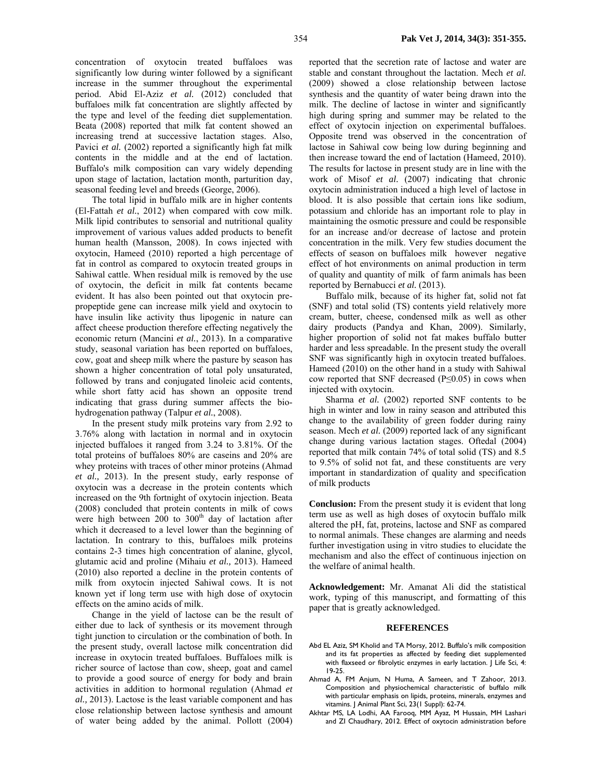concentration of oxytocin treated buffaloes was significantly low during winter followed by a significant increase in the summer throughout the experimental period. Abid El-Aziz *et al.* (2012) concluded that buffaloes milk fat concentration are slightly affected by the type and level of the feeding diet supplementation. Beata (2008) reported that milk fat content showed an increasing trend at successive lactation stages. Also, Pavici *et al.* (2002) reported a significantly high fat milk contents in the middle and at the end of lactation. Buffalo's milk composition can vary widely depending upon stage of lactation, lactation month, parturition day, seasonal feeding level and breeds (George, 2006).

The total lipid in buffalo milk are in higher contents (El-Fattah *et al.*, 2012) when compared with cow milk. Milk lipid contributes to sensorial and nutritional quality improvement of various values added products to benefit human health (Mansson, 2008). In cows injected with oxytocin, Hameed (2010) reported a high percentage of fat in control as compared to oxytocin treated groups in Sahiwal cattle. When residual milk is removed by the use of oxytocin, the deficit in milk fat contents became evident. It has also been pointed out that oxytocin prepropeptide gene can increase milk yield and oxytocin to have insulin like activity thus lipogenic in nature can affect cheese production therefore effecting negatively the economic return (Mancini *et al.*, 2013). In a comparative study, seasonal variation has been reported on buffaloes, cow, goat and sheep milk where the pasture by season has shown a higher concentration of total poly unsaturated, followed by trans and conjugated linoleic acid contents, while short fatty acid has shown an opposite trend indicating that grass during summer affects the biohydrogenation pathway (Talpur *et al.*, 2008).

In the present study milk proteins vary from 2.92 to 3.76% along with lactation in normal and in oxytocin injected buffaloes it ranged from 3.24 to 3.81%. Of the total proteins of buffaloes 80% are caseins and 20% are whey proteins with traces of other minor proteins (Ahmad *et al.,* 2013). In the present study, early response of oxytocin was a decrease in the protein contents which increased on the 9th fortnight of oxytocin injection. Beata (2008) concluded that protein contents in milk of cows were high between  $200$  to  $300<sup>th</sup>$  day of lactation after which it decreased to a level lower than the beginning of lactation. In contrary to this, buffaloes milk proteins contains 2-3 times high concentration of alanine, glycol, glutamic acid and proline (Mihaiu *et al.,* 2013). Hameed (2010) also reported a decline in the protein contents of milk from oxytocin injected Sahiwal cows. It is not known yet if long term use with high dose of oxytocin effects on the amino acids of milk.

Change in the yield of lactose can be the result of either due to lack of synthesis or its movement through tight junction to circulation or the combination of both. In the present study, overall lactose milk concentration did increase in oxytocin treated buffaloes. Buffaloes milk is richer source of lactose than cow, sheep, goat and camel to provide a good source of energy for body and brain activities in addition to hormonal regulation (Ahmad *et al.,* 2013). Lactose is the least variable component and has close relationship between lactose synthesis and amount of water being added by the animal. Pollott (2004)

reported that the secretion rate of lactose and water are stable and constant throughout the lactation. Mech *et al.* (2009) showed a close relationship between lactose synthesis and the quantity of water being drawn into the milk. The decline of lactose in winter and significantly high during spring and summer may be related to the effect of oxytocin injection on experimental buffaloes. Opposite trend was observed in the concentration of lactose in Sahiwal cow being low during beginning and then increase toward the end of lactation (Hameed, 2010). The results for lactose in present study are in line with the work of Misof *et al.* (2007) indicating that chronic oxytocin administration induced a high level of lactose in blood. It is also possible that certain ions like sodium, potassium and chloride has an important role to play in maintaining the osmotic pressure and could be responsible for an increase and/or decrease of lactose and protein concentration in the milk. Very few studies document the effects of season on buffaloes milk however negative effect of hot environments on animal production in term of quality and quantity of milk of farm animals has been reported by Bernabucci *et al.* (2013).

Buffalo milk, because of its higher fat, solid not fat (SNF) and total solid (TS) contents yield relatively more cream, butter, cheese, condensed milk as well as other dairy products (Pandya and Khan, 2009). Similarly, higher proportion of solid not fat makes buffalo butter harder and less spreadable. In the present study the overall SNF was significantly high in oxytocin treated buffaloes. Hameed (2010) on the other hand in a study with Sahiwal cow reported that SNF decreased (P≤0.05) in cows when injected with oxytocin.

Sharma *et al.* (2002) reported SNF contents to be high in winter and low in rainy season and attributed this change to the availability of green fodder during rainy season. Mech *et al.* (2009) reported lack of any significant change during various lactation stages. Oftedal (2004) reported that milk contain 74% of total solid (TS) and 8.5 to 9.5% of solid not fat, and these constituents are very important in standardization of quality and specification of milk products

**Conclusion:** From the present study it is evident that long term use as well as high doses of oxytocin buffalo milk altered the pH, fat, proteins, lactose and SNF as compared to normal animals. These changes are alarming and needs further investigation using in vitro studies to elucidate the mechanism and also the effect of continuous injection on the welfare of animal health.

**Acknowledgement:** Mr. Amanat Ali did the statistical work, typing of this manuscript, and formatting of this paper that is greatly acknowledged.

## **REFERENCES**

- Abd EL Aziz, SM Kholid and TA Morsy, 2012. Buffalo's milk composition and its fat properties as affected by feeding diet supplemented with flaxseed or fibrolytic enzymes in early lactation. J Life Sci, 4: 19-25.
- Ahmad A, FM Anjum, N Huma, A Sameen, and T Zahoor, 2013. Composition and physiochemical characteristic of buffalo milk with particular emphasis on lipids, proteins, minerals, enzymes and vitamins. J Animal Plant Sci, 23(1 Suppl): 62-74.
- Akhtar MS, LA Lodhi, AA Farooq, MM Ayaz, M Hussain, MH Lashari and ZI Chaudhary, 2012. Effect of oxytocin administration before